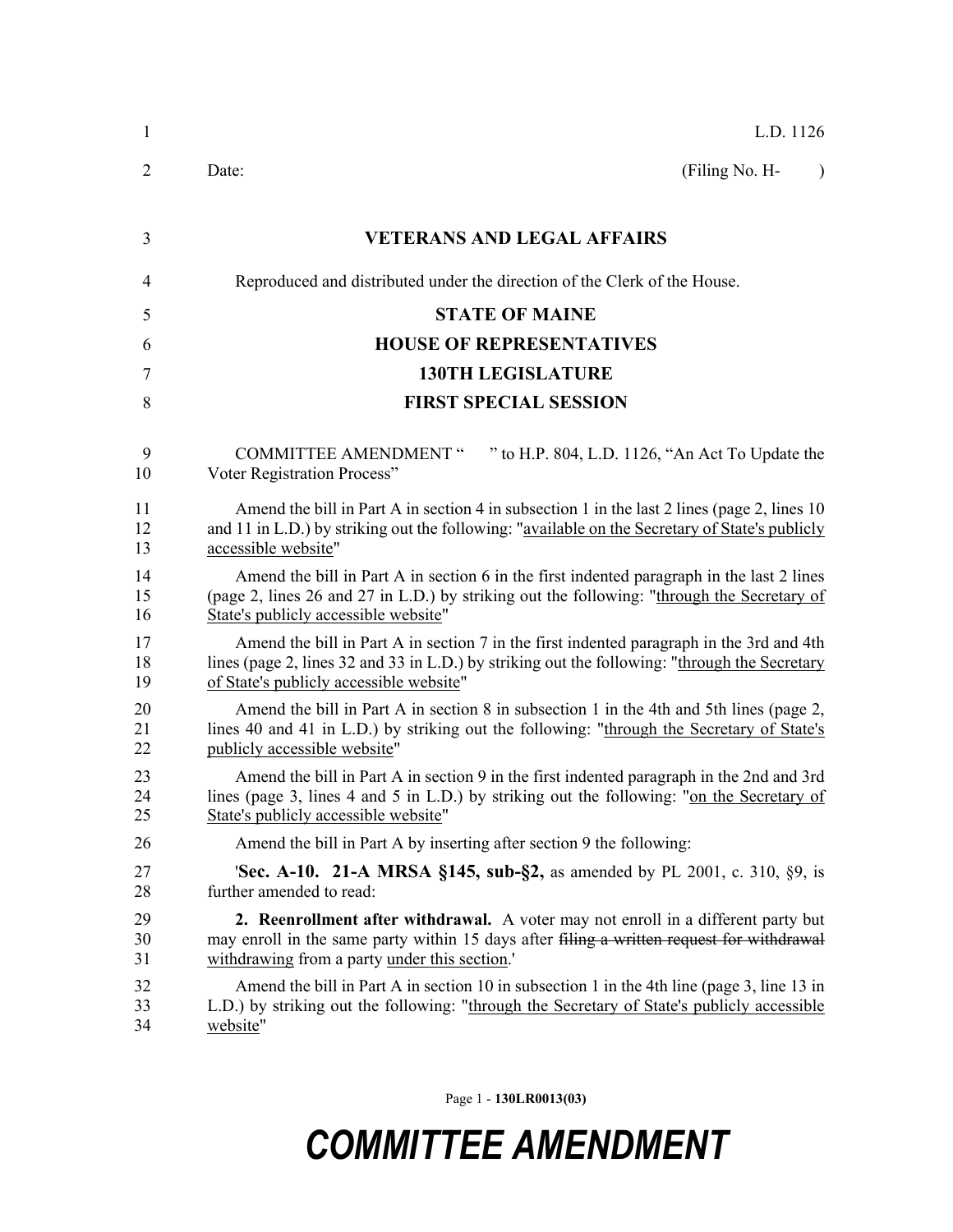| 1              | L.D. 1126                                                                                                                                                                                                                            |
|----------------|--------------------------------------------------------------------------------------------------------------------------------------------------------------------------------------------------------------------------------------|
| 2              | (Filing No. H-<br>Date:<br>$\lambda$                                                                                                                                                                                                 |
| 3              | <b>VETERANS AND LEGAL AFFAIRS</b>                                                                                                                                                                                                    |
| $\overline{4}$ | Reproduced and distributed under the direction of the Clerk of the House.                                                                                                                                                            |
| 5              | <b>STATE OF MAINE</b>                                                                                                                                                                                                                |
| 6              | <b>HOUSE OF REPRESENTATIVES</b>                                                                                                                                                                                                      |
| 7              | <b>130TH LEGISLATURE</b>                                                                                                                                                                                                             |
| 8              | <b>FIRST SPECIAL SESSION</b>                                                                                                                                                                                                         |
| 9<br>10        | " to H.P. 804, L.D. 1126, "An Act To Update the<br><b>COMMITTEE AMENDMENT "</b><br>Voter Registration Process"                                                                                                                       |
| 11<br>12<br>13 | Amend the bill in Part A in section 4 in subsection 1 in the last 2 lines (page 2, lines 10<br>and 11 in L.D.) by striking out the following: "available on the Secretary of State's publicly<br>accessible website"                 |
| 14<br>15<br>16 | Amend the bill in Part A in section 6 in the first indented paragraph in the last 2 lines<br>(page 2, lines 26 and 27 in L.D.) by striking out the following: "through the Secretary of<br>State's publicly accessible website"      |
| 17<br>18<br>19 | Amend the bill in Part A in section 7 in the first indented paragraph in the 3rd and 4th<br>lines (page 2, lines 32 and 33 in L.D.) by striking out the following: "through the Secretary<br>of State's publicly accessible website" |
| 20<br>21<br>22 | Amend the bill in Part A in section 8 in subsection 1 in the 4th and 5th lines (page 2,<br>lines 40 and 41 in L.D.) by striking out the following: "through the Secretary of State's<br>publicly accessible website"                 |
| 23<br>24<br>25 | Amend the bill in Part A in section 9 in the first indented paragraph in the 2nd and 3rd<br>lines (page 3, lines 4 and 5 in L.D.) by striking out the following: "on the Secretary of<br>State's publicly accessible website"        |
| 26             | Amend the bill in Part A by inserting after section 9 the following:                                                                                                                                                                 |
| 27<br>28       | <b>Sec. A-10. 21-A MRSA §145, sub-§2,</b> as amended by PL 2001, c. 310, §9, is<br>further amended to read:                                                                                                                          |
| 29<br>30<br>31 | 2. Reenrollment after withdrawal. A voter may not enroll in a different party but<br>may enroll in the same party within 15 days after filing a written request for withdrawal<br>withdrawing from a party under this section.       |
| 32<br>33<br>34 | Amend the bill in Part A in section 10 in subsection 1 in the 4th line (page 3, line 13 in<br>L.D.) by striking out the following: "through the Secretary of State's publicly accessible<br>website"                                 |

Page 1 - **130LR0013(03)**

## *COMMITTEE AMENDMENT*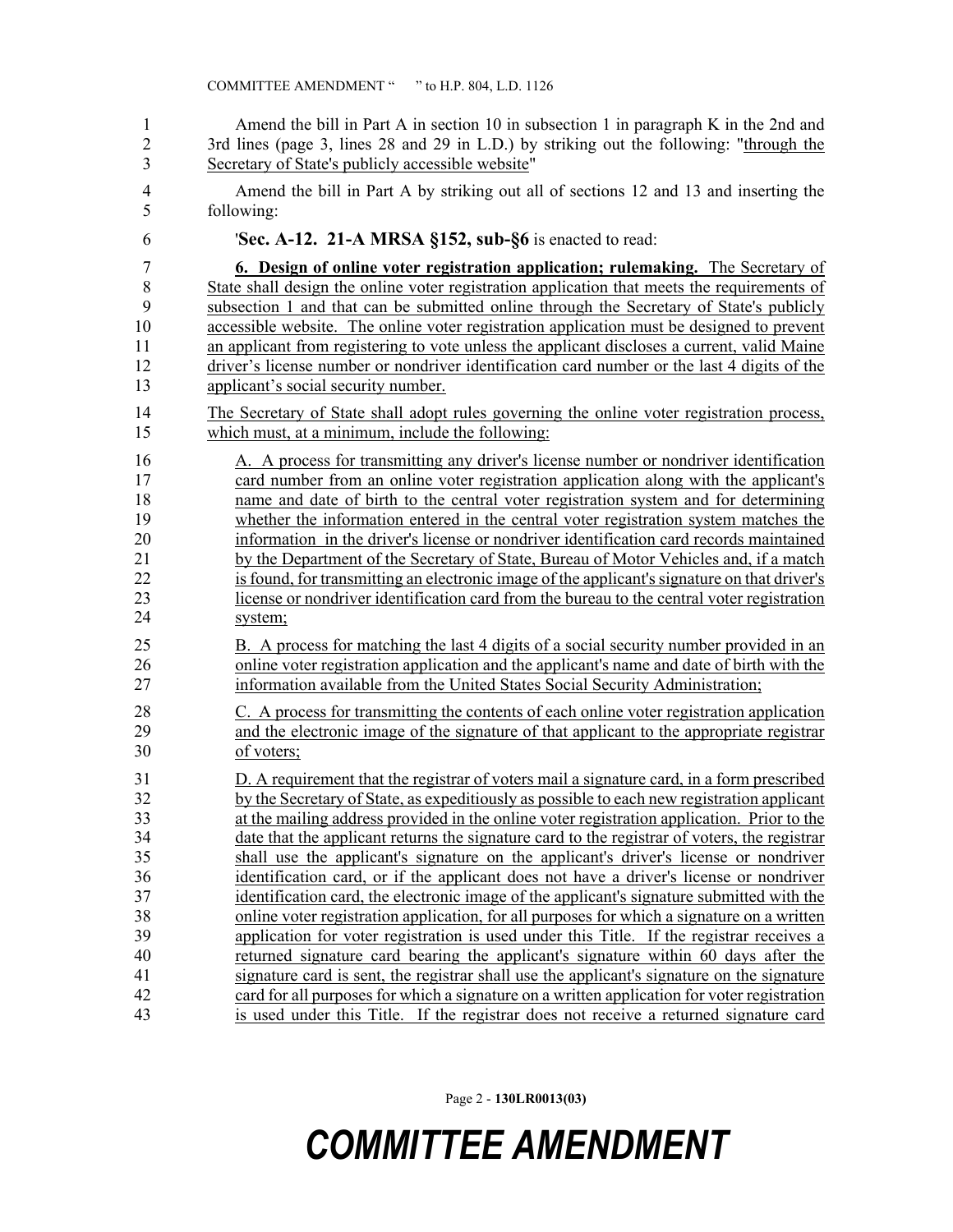1 Amend the bill in Part A in section 10 in subsection 1 in paragraph K in the 2nd and 2 3rd lines (page 3, lines 28 and 29 in L.D.) by striking out the following: "through the 3 Secretary of State's publicly accessible website"

4 Amend the bill in Part A by striking out all of sections 12 and 13 and inserting the 5 following:

6 '**Sec. A-12. 21-A MRSA §152, sub-§6** is enacted to read:

7 **6. Design of online voter registration application; rulemaking.** The Secretary of 8 State shall design the online voter registration application that meets the requirements of 9 subsection 1 and that can be submitted online through the Secretary of State's publicly 10 accessible website. The online voter registration application must be designed to prevent 11 an applicant from registering to vote unless the applicant discloses a current, valid Maine 12 driver's license number or nondriver identification card number or the last 4 digits of the 13 applicant's social security number.

- 14 The Secretary of State shall adopt rules governing the online voter registration process, 15 which must, at a minimum, include the following:
- 16 A. A process for transmitting any driver's license number or nondriver identification 17 card number from an online voter registration application along with the applicant's 18 name and date of birth to the central voter registration system and for determining 19 whether the information entered in the central voter registration system matches the 20 information in the driver's license or nondriver identification card records maintained 21 by the Department of the Secretary of State, Bureau of Motor Vehicles and, if a match 22 is found, for transmitting an electronic image of the applicant's signature on that driver's 23 license or nondriver identification card from the bureau to the central voter registration
- 24 system;

25 B. A process for matching the last 4 digits of a social security number provided in an 26 online voter registration application and the applicant's name and date of birth with the 27 information available from the United States Social Security Administration;

28 C. A process for transmitting the contents of each online voter registration application 29 and the electronic image of the signature of that applicant to the appropriate registrar 30 of voters;

31 D. A requirement that the registrar of voters mail a signature card, in a form prescribed 32 by the Secretary of State, as expeditiously as possible to each new registration applicant 33 at the mailing address provided in the online voter registration application. Prior to the 34 date that the applicant returns the signature card to the registrar of voters, the registrar 35 shall use the applicant's signature on the applicant's driver's license or nondriver 36 identification card, or if the applicant does not have a driver's license or nondriver 37 identification card, the electronic image of the applicant's signature submitted with the 38 online voter registration application, for all purposes for which a signature on a written 39 application for voter registration is used under this Title. If the registrar receives a 40 returned signature card bearing the applicant's signature within 60 days after the 41 signature card is sent, the registrar shall use the applicant's signature on the signature 42 card for all purposes for which a signature on a written application for voter registration 43 is used under this Title. If the registrar does not receive a returned signature card

Page 2 - **130LR0013(03)**

## *COMMITTEE AMENDMENT*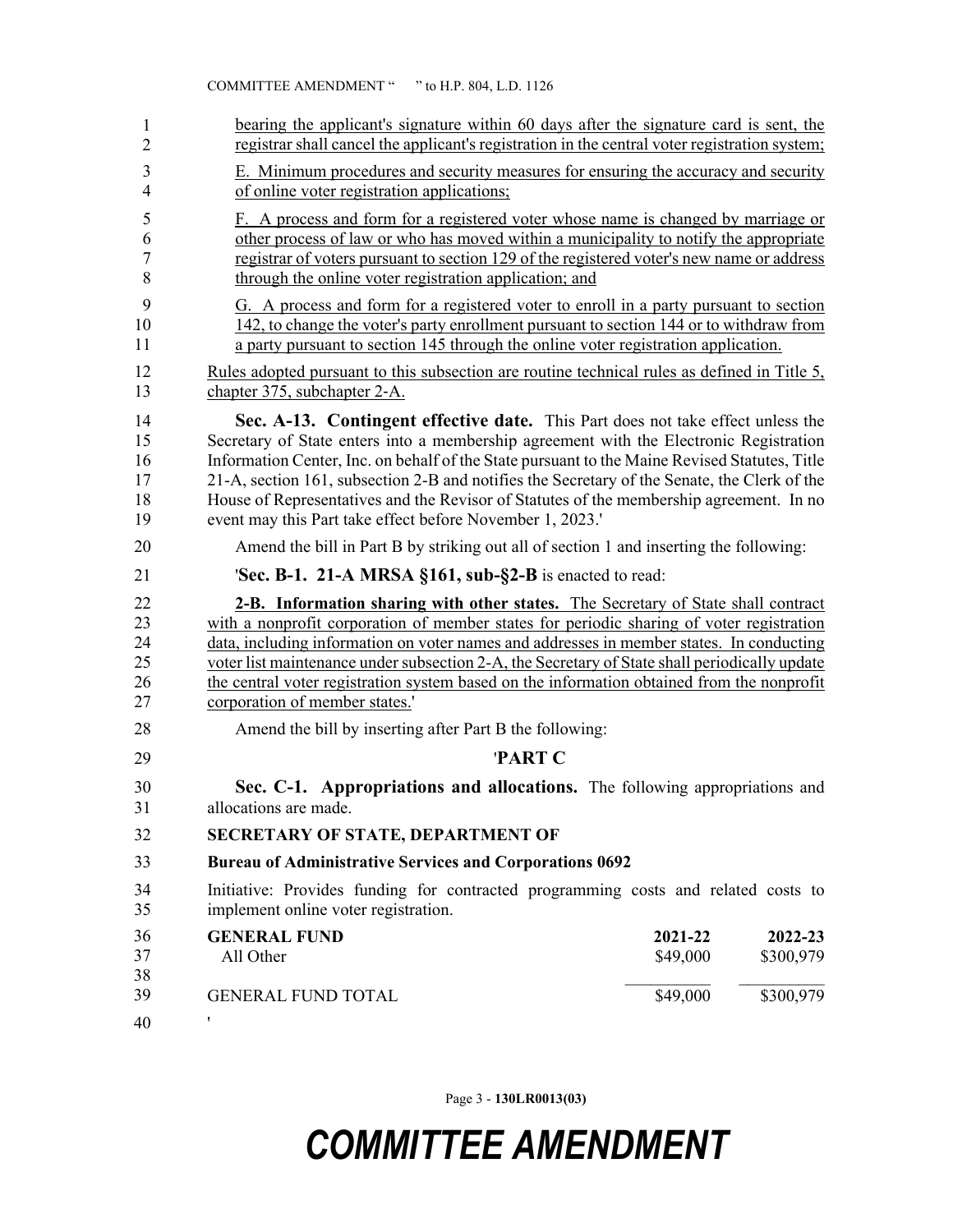| registrar shall cancel the applicant's registration in the central voter registration system;<br>$\overline{2}$<br>3<br>E. Minimum procedures and security measures for ensuring the accuracy and security                                                                                                                                                                                                                                                                                                                                                             |                      |
|------------------------------------------------------------------------------------------------------------------------------------------------------------------------------------------------------------------------------------------------------------------------------------------------------------------------------------------------------------------------------------------------------------------------------------------------------------------------------------------------------------------------------------------------------------------------|----------------------|
| $\overline{4}$<br>of online voter registration applications;                                                                                                                                                                                                                                                                                                                                                                                                                                                                                                           |                      |
| F. A process and form for a registered voter whose name is changed by marriage or<br>5<br>other process of law or who has moved within a municipality to notify the appropriate<br>6<br>7<br>registrar of voters pursuant to section 129 of the registered voter's new name or address<br>8<br>through the online voter registration application; and                                                                                                                                                                                                                  |                      |
| 9<br>G. A process and form for a registered voter to enroll in a party pursuant to section<br>142, to change the voter's party enrollment pursuant to section 144 or to withdraw from<br>10<br>a party pursuant to section 145 through the online voter registration application.<br>11                                                                                                                                                                                                                                                                                |                      |
| 12<br>Rules adopted pursuant to this subsection are routine technical rules as defined in Title 5,<br>13<br>chapter 375, subchapter 2-A.                                                                                                                                                                                                                                                                                                                                                                                                                               |                      |
| 14<br>Sec. A-13. Contingent effective date. This Part does not take effect unless the<br>Secretary of State enters into a membership agreement with the Electronic Registration<br>15<br>Information Center, Inc. on behalf of the State pursuant to the Maine Revised Statutes, Title<br>16<br>21-A, section 161, subsection 2-B and notifies the Secretary of the Senate, the Clerk of the<br>17<br>House of Representatives and the Revisor of Statutes of the membership agreement. In no<br>18<br>19<br>event may this Part take effect before November 1, 2023.' |                      |
| 20<br>Amend the bill in Part B by striking out all of section 1 and inserting the following:                                                                                                                                                                                                                                                                                                                                                                                                                                                                           |                      |
| <b>'Sec. B-1. 21-A MRSA §161, sub-§2-B</b> is enacted to read:<br>21                                                                                                                                                                                                                                                                                                                                                                                                                                                                                                   |                      |
| 22<br>2-B. Information sharing with other states. The Secretary of State shall contract<br>23<br>with a nonprofit corporation of member states for periodic sharing of voter registration<br>data, including information on voter names and addresses in member states. In conducting<br>24<br>25<br>voter list maintenance under subsection 2-A, the Secretary of State shall periodically update<br>the central voter registration system based on the information obtained from the nonprofit<br>26<br>27<br>corporation of member states.'                         |                      |
| 28<br>Amend the bill by inserting after Part B the following:                                                                                                                                                                                                                                                                                                                                                                                                                                                                                                          |                      |
| 'PART C<br>29                                                                                                                                                                                                                                                                                                                                                                                                                                                                                                                                                          |                      |
| Sec. C-1. Appropriations and allocations. The following appropriations and<br>30<br>31<br>allocations are made.                                                                                                                                                                                                                                                                                                                                                                                                                                                        |                      |
| 32<br>SECRETARY OF STATE, DEPARTMENT OF                                                                                                                                                                                                                                                                                                                                                                                                                                                                                                                                |                      |
| 33<br><b>Bureau of Administrative Services and Corporations 0692</b>                                                                                                                                                                                                                                                                                                                                                                                                                                                                                                   |                      |
| Initiative: Provides funding for contracted programming costs and related costs to<br>34<br>35<br>implement online voter registration.                                                                                                                                                                                                                                                                                                                                                                                                                                 |                      |
| 36<br><b>GENERAL FUND</b><br>2021-22<br>37<br>\$49,000<br>All Other<br>38                                                                                                                                                                                                                                                                                                                                                                                                                                                                                              | 2022-23<br>\$300,979 |
| \$49,000<br>39<br><b>GENERAL FUND TOTAL</b><br>,<br>40                                                                                                                                                                                                                                                                                                                                                                                                                                                                                                                 | \$300,979            |

Page 3 - **130LR0013(03)**